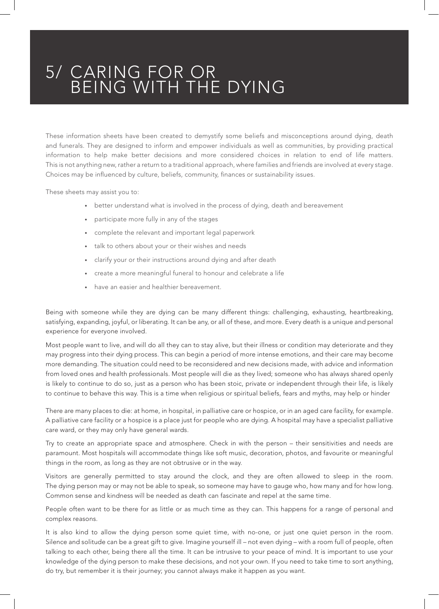## 5/ CARING FOR OR BEING WITH THE DYING

These information sheets have been created to demystify some beliefs and misconceptions around dying, death and funerals. They are designed to inform and empower individuals as well as communities, by providing practical information to help make better decisions and more considered choices in relation to end of life matters. This is not anything new, rather a return to a traditional approach, where families and friends are involved at every stage. Choices may be influenced by culture, beliefs, community, finances or sustainability issues.

These sheets may assist you to:

- better understand what is involved in the process of dying, death and bereavement
- participate more fully in any of the stages
- complete the relevant and important legal paperwork
- talk to others about your or their wishes and needs
- clarify your or their instructions around dying and after death
- create a more meaningful funeral to honour and celebrate a life
- have an easier and healthier bereavement.

Being with someone while they are dying can be many different things: challenging, exhausting, heartbreaking, satisfying, expanding, joyful, or liberating. It can be any, or all of these, and more. Every death is a unique and personal experience for everyone involved.

Most people want to live, and will do all they can to stay alive, but their illness or condition may deteriorate and they may progress into their dying process. This can begin a period of more intense emotions, and their care may become more demanding. The situation could need to be reconsidered and new decisions made, with advice and information from loved ones and health professionals. Most people will die as they lived; someone who has always shared openly is likely to continue to do so, just as a person who has been stoic, private or independent through their life, is likely to continue to behave this way. This is a time when religious or spiritual beliefs, fears and myths, may help or hinder

There are many places to die: at home, in hospital, in palliative care or hospice, or in an aged care facility, for example. A palliative care facility or a hospice is a place just for people who are dying. A hospital may have a specialist palliative care ward, or they may only have general wards.

Try to create an appropriate space and atmosphere. Check in with the person – their sensitivities and needs are paramount. Most hospitals will accommodate things like soft music, decoration, photos, and favourite or meaningful things in the room, as long as they are not obtrusive or in the way.

Visitors are generally permitted to stay around the clock, and they are often allowed to sleep in the room. The dying person may or may not be able to speak, so someone may have to gauge who, how many and for how long. Common sense and kindness will be needed as death can fascinate and repel at the same time.

People often want to be there for as little or as much time as they can. This happens for a range of personal and complex reasons.

It is also kind to allow the dying person some quiet time, with no-one, or just one quiet person in the room. Silence and solitude can be a great gift to give. Imagine yourself ill – not even dying – with a room full of people, often talking to each other, being there all the time. It can be intrusive to your peace of mind. It is important to use your knowledge of the dying person to make these decisions, and not your own. If you need to take time to sort anything, do try, but remember it is their journey; you cannot always make it happen as you want.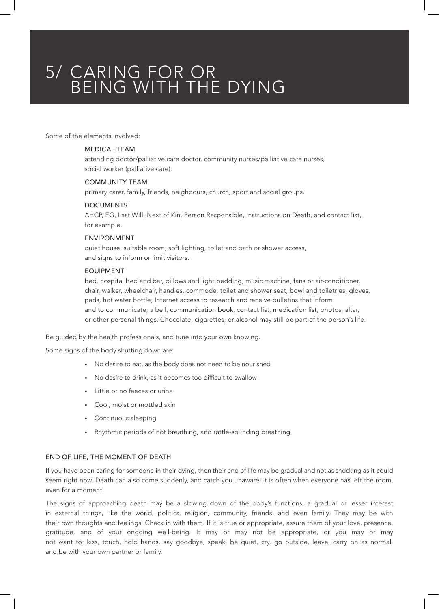# 5/ CARING FOR OR BEING WITH THE DYING

Some of the elements involved:

## MEDICAL TEAM

attending doctor/palliative care doctor, community nurses/palliative care nurses, social worker (palliative care).

### COMMUNITY TEAM

primary carer, family, friends, neighbours, church, sport and social groups.

#### DOCUMENTS

AHCP, EG, Last Will, Next of Kin, Person Responsible, Instructions on Death, and contact list, for example.

#### ENVIRONMENT

quiet house, suitable room, soft lighting, toilet and bath or shower access, and signs to inform or limit visitors.

### EQUIPMENT

bed, hospital bed and bar, pillows and light bedding, music machine, fans or air-conditioner, chair, walker, wheelchair, handles, commode, toilet and shower seat, bowl and toiletries, gloves, pads, hot water bottle, Internet access to research and receive bulletins that inform and to communicate, a bell, communication book, contact list, medication list, photos, altar, or other personal things. Chocolate, cigarettes, or alcohol may still be part of the person's life.

Be guided by the health professionals, and tune into your own knowing.

Some signs of the body shutting down are:

- No desire to eat, as the body does not need to be nourished
- No desire to drink, as it becomes too difficult to swallow
- Little or no faeces or urine
- Cool, moist or mottled skin
- Continuous sleeping
- Rhythmic periods of not breathing, and rattle-sounding breathing.

#### END OF LIFE, THE MOMENT OF DEATH

If you have been caring for someone in their dying, then their end of life may be gradual and not as shocking as it could seem right now. Death can also come suddenly, and catch you unaware; it is often when everyone has left the room, even for a moment.

The signs of approaching death may be a slowing down of the body's functions, a gradual or lesser interest in external things, like the world, politics, religion, community, friends, and even family. They may be with their own thoughts and feelings. Check in with them. If it is true or appropriate, assure them of your love, presence, gratitude, and of your ongoing well-being. It may or may not be appropriate, or you may or may not want to: kiss, touch, hold hands, say goodbye, speak, be quiet, cry, go outside, leave, carry on as normal, and be with your own partner or family.